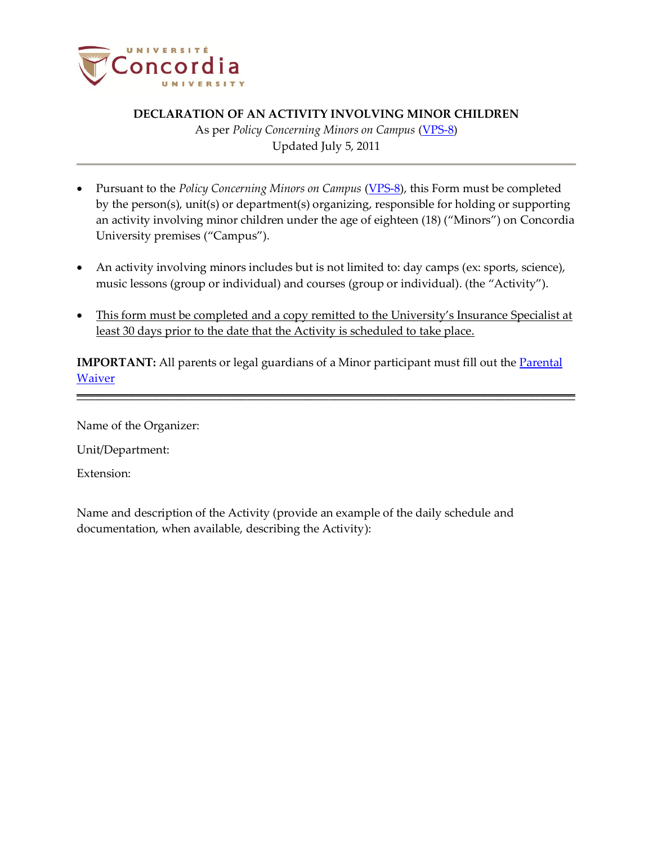

## **DECLARATION OF AN ACTIVITY INVOLVING MINOR CHILDREN**

As per *Policy Concerning Minors on Campus* (VPS-8) Updated July 5, 2011

- Pursuant to the *Policy Concerning Minors on Campus* [\(VPS-8\)](http://www.concordia.ca/vpirsg/documents/policies/VPS-8.pdf), this Form must be completed by the person(s), unit(s) or department(s) organizing, responsible for holding or supporting an activity involving minor children under the age of eighteen (18) ("Minors") on Concordia University premises ("Campus").
- An activity involving minors includes but is not limited to: day camps (ex: sports, science), music lessons (group or individual) and courses (group or individual). (the "Activity").
- This form must be completed and a copy remitted to the University's Insurance Specialist at least 30 days prior to the date that the Activity is scheduled to take place.

**IMPORTANT:** All parents or legal guardians of a Minor participant must fill out the **Parental** [Waiver](http://www.concordia.ca/vpirsg/documents/policies/VPS-8_waiver.pdf)

\_\_\_\_\_\_\_\_\_\_\_\_\_\_\_\_\_\_\_\_\_\_\_\_\_\_\_\_\_\_\_\_\_\_\_\_\_\_\_\_\_\_\_\_\_\_\_\_\_\_\_\_\_\_\_\_\_\_\_\_\_\_\_\_\_\_\_\_\_\_\_\_\_\_\_\_\_\_\_\_\_\_\_\_\_

Name of the Organizer:

Unit/Department:

Extension:

Name and description of the Activity (provide an example of the daily schedule and documentation, when available, describing the Activity):